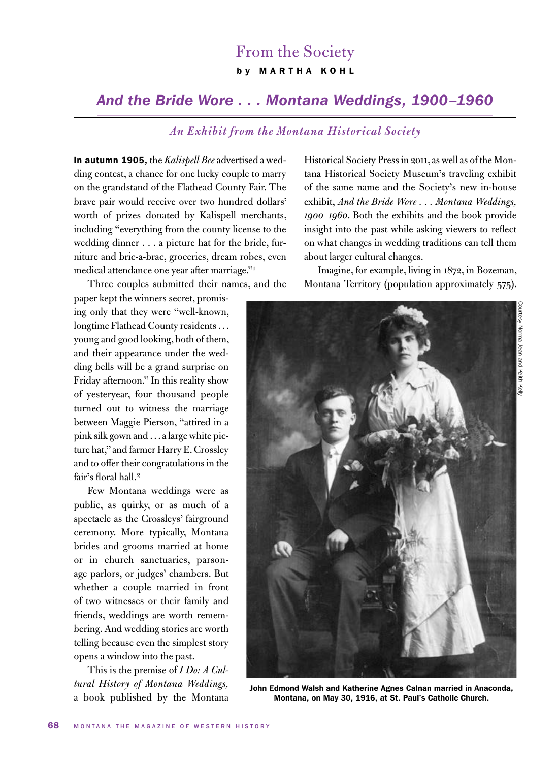## From the Society b y MARTHA KOHL

## *And the Bride Wore . . . Montana Weddings, 1900–1960*

## *An Exhibit from the Montana Historical Society*

In autumn 1905, the *Kalispell Bee* advertised a wedding contest, a chance for one lucky couple to marry on the grandstand of the Flathead County Fair. The brave pair would receive over two hundred dollars' worth of prizes donated by Kalispell merchants, including "everything from the county license to the wedding dinner . . . a picture hat for the bride, furniture and bric-a-brac, groceries, dream robes, even medical attendance one year after marriage."1

Three couples submitted their names, and the

paper kept the winners secret, promising only that they were "well-known, longtime Flathead County residents . . . young and good looking, both of them, and their appearance under the wedding bells will be a grand surprise on Friday afternoon." In this reality show of yesteryear, four thousand people turned out to witness the marriage between Maggie Pierson, "attired in a pink silk gown and . . . a large white picture hat," and farmer Harry E. Crossley and to offer their congratulations in the fair's floral hall.<sup>2</sup>

Few Montana weddings were as public, as quirky, or as much of a spectacle as the Crossleys' fairground ceremony. More typically, Montana brides and grooms married at home or in church sanctuaries, parsonage parlors, or judges' chambers. But whether a couple married in front of two witnesses or their family and friends, weddings are worth remembering. And wedding stories are worth telling because even the simplest story opens a window into the past.

This is the premise of *I Do: A Cultural History of Montana Weddings,*  a book published by the Montana Historical Society Press in 2011, as well as of the Montana Historical Society Museum's traveling exhibit of the same name and the Society's new in-house exhibit, *And the Bride Wore . . . Montana Weddings, 1900–1960*. Both the exhibits and the book provide insight into the past while asking viewers to reflect on what changes in wedding traditions can tell them about larger cultural changes.

Imagine, for example, living in 1872, in Bozeman, Montana Territory (population approximately 575).



John Edmond Walsh and Katherine Agnes Calnan married in Anaconda, Montana, on May 30, 1916, at St. Paul's Catholic Church.

Courtesy Norma Jean and Keith Kelly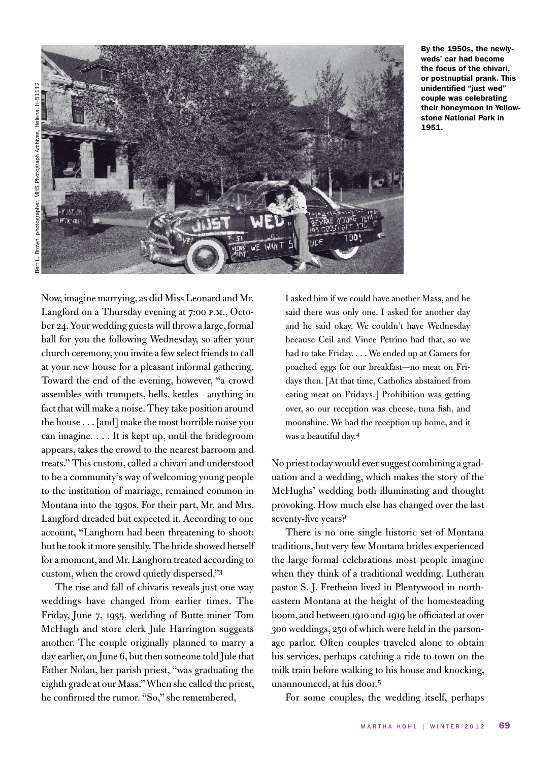

By the 1950s, the newlyweds' car had become the focus of the chivari, or postnuptial prank. This unidentified "just wed" couple was celebrating their honeymoon in Yellowstone National Park in 1951.

Now, imagine marrying, as did Miss Leonard and Mr. Langford on a Thursday evening at 7:00 P.M., October 24. Your wedding guests will throw a large, formal ball for you the following Wednesday, so after your church ceremony, you invite a few select friends to call at your new house for a pleasant informal gathering. Toward the end of the evening, however, "a crowd assembles with trumpets, bells, kettles—anything in fact that will make a noise. They take position around the house . . . [and] make the most horrible noise you can imagine. . . . It is kept up, until the bridegroom appears, takes the crowd to the nearest barroom and treats." This custom, called a chivari and understood to be a community's way of welcoming young people to the institution of marriage, remained common in Montana into the 1930s. For their part, Mr. and Mrs. Langford dreaded but expected it. According to one account, "Langhorn had been threatening to shoot; but he took it more sensibly. The bride showed herself for a moment, and Mr. Langhorn treated according to custom, when the crowd quietly dispersed."3

The rise and fall of chivaris reveals just one way weddings have changed from earlier times. The Friday, June 7, 1935, wedding of Butte miner Tom McHugh and store clerk Jule Harrington suggests another. The couple originally planned to marry a day earlier, on June 6, but then someone told Jule that Father Nolan, her parish priest, "was graduating the eighth grade at our Mass." When she called the priest, he confirmed the rumor. "So," she remembered,

I asked him if we could have another Mass, and he said there was only one. I asked for another day and he said okay. We couldn't have Wednesday because Ceil and Vince Petrino had that, so we had to take Friday. . . . We ended up at Gamers for poached eggs for our breakfast—no meat on Fridays then. [At that time, Catholics abstained from eating meat on Fridays.] Prohibition was getting over, so our reception was cheese, tuna fish, and moonshine. We had the reception up home, and it was a beautiful day.4

No priest today would ever suggest combining a graduation and a wedding, which makes the story of the McHughs' wedding both illuminating and thought provoking. How much else has changed over the last seventy-five years?

There is no one single historic set of Montana traditions, but very few Montana brides experienced the large formal celebrations most people imagine when they think of a traditional wedding. Lutheran pastor S. J. Fretheim lived in Plentywood in northeastern Montana at the height of the homesteading boom, and between 1910 and 1919 he officiated at over 300 weddings, 250 of which were held in the parsonage parlor. Often couples traveled alone to obtain his services, perhaps catching a ride to town on the milk train before walking to his house and knocking, unannounced, at his door.5

For some couples, the wedding itself, perhaps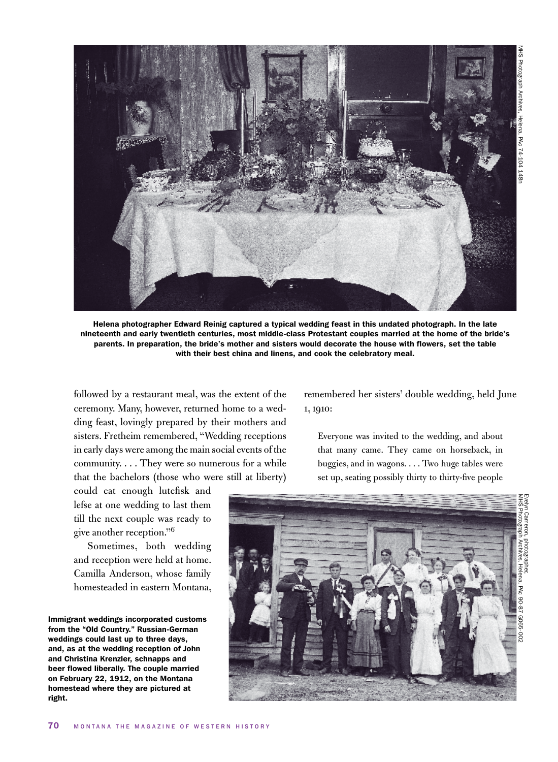

Helena photographer Edward Reinig captured a typical wedding feast in this undated photograph. In the late nineteenth and early twentieth centuries, most middle-class Protestant couples married at the home of the bride's parents. In preparation, the bride's mother and sisters would decorate the house with flowers, set the table with their best china and linens, and cook the celebratory meal.

followed by a restaurant meal, was the extent of the ceremony. Many, however, returned home to a wedding feast, lovingly prepared by their mothers and sisters. Fretheim remembered, "Wedding receptions in early days were among the main social events of the community. . . . They were so numerous for a while that the bachelors (those who were still at liberty)

remembered her sisters' double wedding, held June 1, 1910:

Everyone was invited to the wedding, and about that many came. They came on horseback, in buggies, and in wagons. . . . Two huge tables were set up, seating possibly thirty to thirty-five people

could eat enough lutefisk and lefse at one wedding to last them till the next couple was ready to give another reception."6

Sometimes, both wedding and reception were held at home. Camilla Anderson, whose family homesteaded in eastern Montana,

Immigrant weddings incorporated customs from the "Old Country." Russian-German weddings could last up to three days, and, as at the wedding reception of John and Christina Krenzler, schnapps and beer flowed liberally. The couple married on February 22, 1912, on the Montana homestead where they are pictured at right.

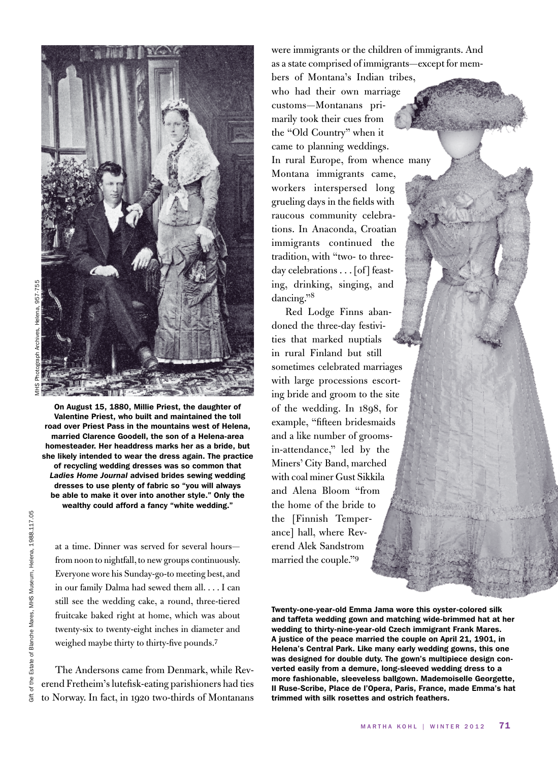

On August 15, 1880, Millie Priest, the daughter of Valentine Priest, who built and maintained the toll road over Priest Pass in the mountains west of Helena, married Clarence Goodell, the son of a Helena-area homesteader. Her headdress marks her as a bride, but she likely intended to wear the dress again. The practice of recycling wedding dresses was so common that *Ladies Home Journal* advised brides sewing wedding dresses to use plenty of fabric so "you will always be able to make it over into another style." Only the wealthy could afford a fancy "white wedding."

at a time. Dinner was served for several hours from noon to nightfall, to new groups continuously. Everyone wore his Sunday-go-to meeting best, and in our family Dalma had sewed them all. . . . I can still see the wedding cake, a round, three-tiered fruitcake baked right at home, which was about twenty-six to twenty-eight inches in diameter and weighed maybe thirty to thirty-five pounds.7

The Andersons came from Denmark, while Reverend Fretheim's lutefisk-eating parishioners had ties to Norway. In fact, in 1920 two-thirds of Montanans were immigrants or the children of immigrants. And as a state comprised of immigrants—except for members of Montana's Indian tribes,

who had their own marriage customs—Montanans primarily took their cues from the "Old Country" when it came to planning weddings. In rural Europe, from whence many Montana immigrants came, workers interspersed long grueling days in the fields with raucous community celebrations. In Anaconda, Croatian immigrants continued the tradition, with "two- to threeday celebrations . . . [of] feasting, drinking, singing, and dancing."8

Red Lodge Finns abandoned the three-day festivities that marked nuptials in rural Finland but still sometimes celebrated marriages with large processions escorting bride and groom to the site of the wedding. In 1898, for example, "fifteen bridesmaids and a like number of groomsin-attendance," led by the Miners' City Band, marched with coal miner Gust Sikkila and Alena Bloom "from the home of the bride to the [Finnish Temperance] hall, where Reverend Alek Sandstrom married the couple."<sup>9</sup>

Twenty-one-year-old Emma Jama wore this oyster-colored silk and taffeta wedding gown and matching wide-brimmed hat at her wedding to thirty-nine-year-old Czech immigrant Frank Mares. A justice of the peace married the couple on April 21, 1901, in Helena's Central Park. Like many early wedding gowns, this one was designed for double duty. The gown's multipiece design converted easily from a demure, long-sleeved wedding dress to a more fashionable, sleeveless ballgown. Mademoiselle Georgette, II Ruse-Scribe, Place de l'Opera, Paris, France, made Emma's hat trimmed with silk rosettes and ostrich feathers.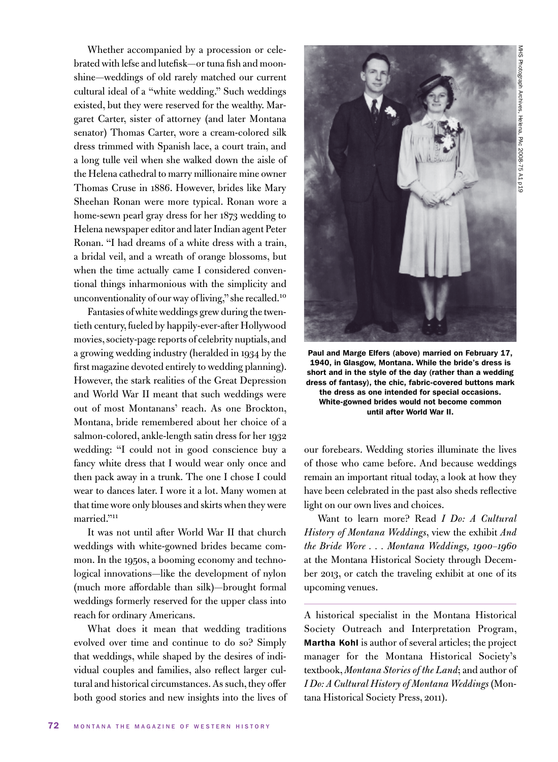Whether accompanied by a procession or celebrated with lefse and lutefisk—or tuna fish and moonshine—weddings of old rarely matched our current cultural ideal of a "white wedding." Such weddings existed, but they were reserved for the wealthy. Margaret Carter, sister of attorney (and later Montana senator) Thomas Carter, wore a cream-colored silk dress trimmed with Spanish lace, a court train, and a long tulle veil when she walked down the aisle of the Helena cathedral to marry millionaire mine owner Thomas Cruse in 1886. However, brides like Mary Sheehan Ronan were more typical. Ronan wore a home-sewn pearl gray dress for her 1873 wedding to Helena newspaper editor and later Indian agent Peter Ronan. "I had dreams of a white dress with a train, a bridal veil, and a wreath of orange blossoms, but when the time actually came I considered conventional things inharmonious with the simplicity and unconventionality of our way of living," she recalled.<sup>10</sup>

Fantasies of white weddings grew during the twentieth century, fueled by happily-ever-after Hollywood movies, society-page reports of celebrity nuptials, and a growing wedding industry (heralded in 1934 by the first magazine devoted entirely to wedding planning). However, the stark realities of the Great Depression and World War II meant that such weddings were out of most Montanans' reach. As one Brockton, Montana, bride remembered about her choice of a salmon-colored, ankle-length satin dress for her 1932 wedding: "I could not in good conscience buy a fancy white dress that I would wear only once and then pack away in a trunk. The one I chose I could wear to dances later. I wore it a lot. Many women at that time wore only blouses and skirts when they were married."11

It was not until after World War II that church weddings with white-gowned brides became common. In the 1950s, a booming economy and technological innovations—like the development of nylon (much more affordable than silk)—brought formal weddings formerly reserved for the upper class into reach for ordinary Americans.

What does it mean that wedding traditions evolved over time and continue to do so? Simply that weddings, while shaped by the desires of individual couples and families, also reflect larger cultural and historical circumstances. As such, they offer both good stories and new insights into the lives of



Paul and Marge Elfers (above) married on February 17, 1940, in Glasgow, Montana. While the bride's dress is short and in the style of the day (rather than a wedding dress of fantasy), the chic, fabric-covered buttons mark the dress as one intended for special occasions. White-gowned brides would not become common until after World War II.

our forebears. Wedding stories illuminate the lives of those who came before. And because weddings remain an important ritual today, a look at how they have been celebrated in the past also sheds reflective light on our own lives and choices.

Want to learn more? Read *I Do: A Cultural History of Montana Weddings*, view the exhibit *And the Bride Wore . . . Montana Weddings, 1900–1960*  at the Montana Historical Society through December 2013, or catch the traveling exhibit at one of its upcoming venues.

A historical specialist in the Montana Historical Society Outreach and Interpretation Program, Martha Kohl is author of several articles; the project manager for the Montana Historical Society's textbook, *Montana Stories of the Land*; and author of *I Do: A Cultural History of Montana Weddings* (Montana Historical Society Press, 2011).